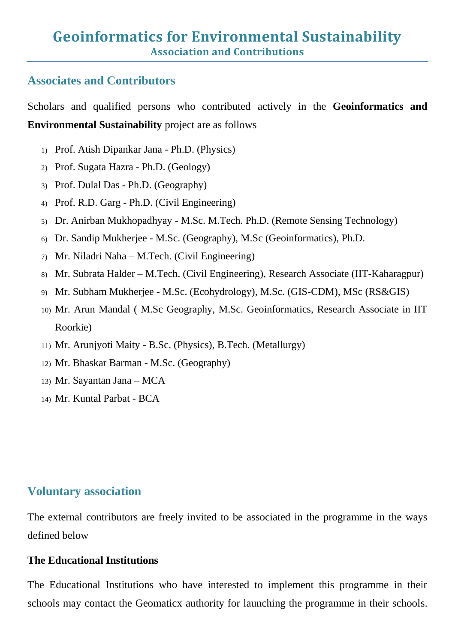## **Associates and Contributors**

Scholars and qualified persons who contributed actively in the **Geoinformatics and Environmental Sustainability** project are as follows

- 1) Prof. Atish Dipankar Jana Ph.D. (Physics)
- 2) Prof. Sugata Hazra Ph.D. (Geology)
- 3) Prof. Dulal Das Ph.D. (Geography)
- 4) Prof. R.D. Garg Ph.D. (Civil Engineering)
- 5) Dr. Anirban Mukhopadhyay M.Sc. M.Tech. Ph.D. (Remote Sensing Technology)
- 6) Dr. Sandip Mukherjee M.Sc. (Geography), M.Sc (Geoinformatics), Ph.D.
- 7) Mr. Niladri Naha M.Tech. (Civil Engineering)
- 8) Mr. Subrata Halder M.Tech. (Civil Engineering), Research Associate (IIT-Kaharagpur)
- 9) Mr. Subham Mukherjee M.Sc. (Ecohydrology), M.Sc. (GIS-CDM), MSc (RS&GIS)
- 10) Mr. Arun Mandal ( M.Sc Geography, M.Sc. Geoinformatics, Research Associate in IIT Roorkie)
- 11) Mr. Arunjyoti Maity B.Sc. (Physics), B.Tech. (Metallurgy)
- 12) Mr. Bhaskar Barman M.Sc. (Geography)
- 13) Mr. Sayantan Jana MCA
- 14) Mr. Kuntal Parbat BCA

# **Voluntary association**

The external contributors are freely invited to be associated in the programme in the ways defined below

## **The Educational Institutions**

The Educational Institutions who have interested to implement this programme in their schools may contact the Geomaticx authority for launching the programme in their schools.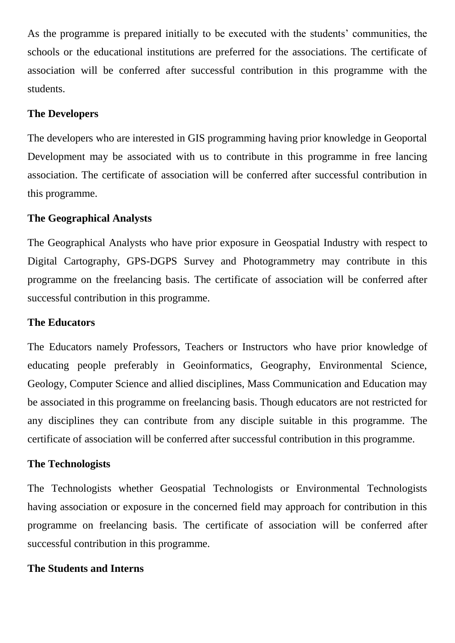As the programme is prepared initially to be executed with the students' communities, the schools or the educational institutions are preferred for the associations. The certificate of association will be conferred after successful contribution in this programme with the students.

### **The Developers**

The developers who are interested in GIS programming having prior knowledge in Geoportal Development may be associated with us to contribute in this programme in free lancing association. The certificate of association will be conferred after successful contribution in this programme.

### **The Geographical Analysts**

The Geographical Analysts who have prior exposure in Geospatial Industry with respect to Digital Cartography, GPS-DGPS Survey and Photogrammetry may contribute in this programme on the freelancing basis. The certificate of association will be conferred after successful contribution in this programme.

#### **The Educators**

The Educators namely Professors, Teachers or Instructors who have prior knowledge of educating people preferably in Geoinformatics, Geography, Environmental Science, Geology, Computer Science and allied disciplines, Mass Communication and Education may be associated in this programme on freelancing basis. Though educators are not restricted for any disciplines they can contribute from any disciple suitable in this programme. The certificate of association will be conferred after successful contribution in this programme.

#### **The Technologists**

The Technologists whether Geospatial Technologists or Environmental Technologists having association or exposure in the concerned field may approach for contribution in this programme on freelancing basis. The certificate of association will be conferred after successful contribution in this programme.

#### **The Students and Interns**